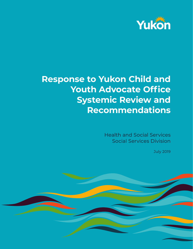

# **Response to Yukon Child and Youth Advocate Office Systemic Review and Recommendations**

Health and Social Services Social Services Division

July 2019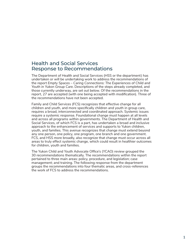# Health and Social Services Response to Recommendations

The Department of Health and Social Services (HSS or the department) has undertaken or will be undertaking work to address the recommendations of the report *Empty Spaces – Caring Connections: The Experiences of Child and Youth in Yukon Group Care*. Descriptions of the steps already completed, and those currently underway, are set out below. Of the recommendations in the report, 27 are accepted (with one being accepted with modification). Three of the recommendations have not been accepted.

Family and Child Services (FCS) recognizes that effective change for all children and youth, and more specifically children and youth in group care, requires a broad, interconnected and coordinated approach. Systemic issues require a systemic response. Foundational change must happen at all levels and across all programs within governments. The Department of Health and Social Services, of which FCS is a part, has undertaken a broad and inclusive approach to the enhancement of services and supports to Yukon children, youth, and families. This avenue recognizes that change must extend beyond any one person, one policy, one program, one branch and one government. FCS, and HSS more broadly, also recognize that change must occur across all areas to truly effect systemic change, which could result in healthier outcomes for children, youth and families.

The Yukon Child and Youth Advocate Office's (YCAO) review grouped the 30 recommendations thematically. The recommendations within the report pertained to three main areas: policy, procedure, and legislation; case management; and training. The following response from the department groups the recommendations into four thematic areas, and cross-references the work of FCS to address the recommendations.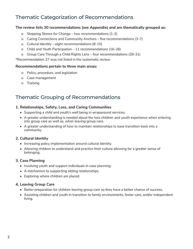# Thematic Categorization of Recommendations

### **The review lists 30 recommendations (see Appendix) and are thematically grouped as:**

- ȍ Stepping Stones for Change two recommendations (1-2)
- ȍ Caring Connections and Community Anchors five recommendations (3-7)
- ȍ Cultural Identity eight recommendations (8-15)
- ȍ Child and Youth Participation 11 recommendations (16-26)
- ȍ Group Care Through a Child Rights Lens four recommendations (28-31)

\*Recommendation 27 was not listed in the systematic review.

### **Recommendations pertain to three main areas:**

- ȍ Policy, procedure, and legislation
- ȍ Case management
- ȍ Training

# Thematic Grouping of Recommendations

## **1. Relationships, Safety, Loss, and Caring Communities**

- Supporting a child and youth's well being in wraparound services.
- A greater understanding is needed about the loss children and youth experience when entering into group care as well as, when leaving group care.
- A greater understanding of how to maintain relationships to ease transition back into a community.

### **2. Cultural Identity**

- Increasing policy implementation around cultural identity.
- Allowing children to understand and practice their culture allowing for a greater sense of belonging.

### **3. Case Planning**

- Involving youth and support individuals in case planning.
- A mechanism to supporting sibling relationships.
- Exploring where children are placed.

### **4. Leaving Group Care**

- Better preparation for children leaving group care so they have a better chance of success.
- Assisting children and youth in transition to family environments, foster care, and/or independent living.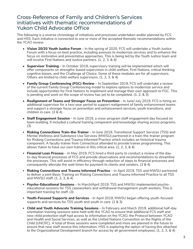# Cross-Reference of Family and Children's Services initiatives with thematic recommendations of Yukon Child Advocate Office

The following is a reverse chronology of initiatives and processes undertaken and/or planned by FCS and HSS. Each initiative is connected to one or more of the accepted thematic recommendations within the YCAO review.

- **• Vision 20/20 Youth Justice Forum** In the spring of 2020, FCS will undertake a Youth Justice Forum with a focus on best practice, including avenues to modernize services and to enhance the focus on restorative and preventative approaches. This is being led by the Youth Justice team and will involve First Nations and Justice partners. (1, 2, 3, & 4)
- **• Supervisor Training**  In October 2019, supervisory training will be implemented which will offer components on strengths-based supervision in child welfare, First Nations, critical thinking, cognitive biases, and the Challenge of Choice. Some of these modules are for all supervisors. Others are limited to child welfare supervisors. (1, 2, 3, & 4)
- **• Family Group Conferencing (FGC) Review**  In September 2019, FCS will undertake a review of the current Family Group Conferencing model to explore options to modernize service and include opportunities for First Nations to implement and manage their own approach to FGC. This is pending and work on the scope of review has yet to be completed. (1, 2, & 3)
- **• Realignment of Teams and Stronger Focus on Prevention** In June/ July 2019, FCS is hiring an additional supervisor for a two-year period to support realignment of family enhancement teams and support a stronger focus on prevention and enhancement services, youth transitions, and children in care. (3 & 4)
- **• Staff Engagement Session** In June 2019, a cross-program staff engagement day focused on team building. It included a cultural training component and knowledge sharing across programs. (3)
- **Risking Connections Train-the-Trainer**  In June 2019, Transitional Support Services (TSS) and Mental Wellness and Substance Use Services (MWSU) partnered in a train-the-trainer program for Risking Connections and Trauma Informed Practice which includes an historical trauma component. A faculty trainer from Connecticut attended to provide trainer programming. This allows Yukon to have our own trainers in this critical area. (1, 2, 3, & 4)
- **Financial Lean Process**  In May 2019, FCS hired a third party to conduct a review of the dayto-day financial processes of FCS and provide observations and recommendations to streamline the processes. This will assist in efficiency through reduction of steps to financial processes and consequently alleviate the wait times for payment to clients and vendors. (3 & 4)
- **Risking Connections and Trauma Informed Practice**  In April 2019, TSS and MWSU partnered to deliver a joint Basic Training on Risking Connections and Trauma Informed Practice to all TSS and MWSU staff. (1, 2, 3, & 4)
- **Psycho-Educational Sessions** In March/April 2019, TSS and MWSU implemented psychoeducational sessions for TSS caseworkers and withdrawal management youth workers. This is important training for staff. (3)
- **Youth-Focused Supports and Services** In April 2019, MWSU began offering youth-focused supports and services for TSS youth and youth in care. (1 & 3)
- **Child and Youth Advocate Training Sessions** In February and March 2019, additional half-day orientation training sessions were held with the YCAO to ensure that additional FCS staff and new child protection staff had access to information on the YCAO, the Protocol between YCAO and Health and Social Services, as well as the United Nations Convention on the Rights of the Child (UNCRC). A total of three sessions were completed and more are planned in the future to ensure that new staff receive this information. HSS is exploring the option of having this attached to the Organizational Development branch for access by all government employees. (1, 2, 3, & 4)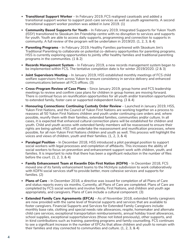- **Transitional Support Worker**  In February 2019, FCS realigned caseloads and added a transitional support worker to support post-care services as well as youth agreements. A second transitional support worker position was added in June 2019. (1)
- **Community Based Supports for Youth**  In February 2019, Integrated Supports for Yukon Youth (ISSY) transitioned to Skookum Jim Friendship centre with no disruption to services and supports for youth. Youth are able to access daily supports, programming and connection to supports in community. A full review of the program will be undertaken in 2019/20. (1, 2, 3, & 4)
- **Parenting Programs**  In February 2019, Healthy Families partnered with Skookum Jim's Traditional Parenting to collaborate on potential co-delivery opportunities for parenting programs. HSS is currently exploring opportunities to jointly offer healthy families and traditional parenting programs in the communities. (1 & 2)
- **Records Management System** In February 2019, a new records management system began to be implemented within FCS. The tentative completion date is for winter 2019/2020. (2 & 3)
- **Joint Supervisors Meeting**  In January 2019, HSS established monthly meetings of FCS child welfare supervisors from across Yukon to ensure consistency in service delivery and enhanced communications between all FCS offices. (3)
- **Cross-Program Review of Case Plans** Since January 2019, group home and FCS leadership meetings to review and confirm case plans for children in group homes are moving forward. There is continual focus on reunification opportunities for all youth and/or transition opportunities to extended family, foster care or supported independent living. (3 & 4)
- **Honouring Connections: Continuing Custody Order Review** Launched in January 2019, HSS, Yukon First Nations, and the Council of Yukon First Nations are working together on a process to reassess all 50 Yukon First Nations children and youth under continuing care orders and, where possible, reunify them with their families, extended families, communities and/or culture. In all cases, it is expected that enhanced cultural connection plans will be established for children and youth. Child and youth access with extended family members will be reassessed to ensure their rights are being upheld. HSS will undertake the reassessment and reunification processes, where possible, for all non-Yukon First Nations children and youth as well. This process will highlight the voices and views of children, youth and their families. (1, 2, 3, & 4)
- **Paralegal Position** In December 2018, HSS introduced a pilot paralegal position to support social workers with legal processes and completion of affidavits. This increases the ability of social workers to focus on prevention and enhancement support work with children, youth, and families. It is important to note that there has been a significant reduction in the number of files before the court. (1, 2, 3, & 4)
- **Family Enhancement Team at Kwanlin Dün First Nation (KDFN)** In December 2018, FCS moved one of its family enhancement teams to the McIntyre subdivision to work collaboratively with KDFN social services staff to provide better, more cohesive services and supports for families. (2)
- **Plans of Care** In December 2018, a directive was issued for completion of all Plans of Care and status reports every six months. Currently, all Plans of Care are completed. Plans of Care are completed by FCS social workers and involve family, First Nations, and children and youth age appropriately, and caregivers. Plans of Care include a cultural component. (3)
- **Extended Family Care Agreements (EFCA)** As of November 2018, extended family caregivers are now provided with the same level of financial supports and services that are available to foster caregivers. Financial Supports and Services for Extended Family Caregivers include: monthly base rate, clothing and special needs rate allowances, respite, homemaker and alternate child care services, exceptional transportation reimbursements, annual holiday travel allowances, school supplies, exceptional supports/services (those not listed previously), other supports, and in-kind contributions such as training, parenting programs and family counselling. FCS continues to see a significant increase in the number of EFCAs that allow children and youth to remain with their families and stay connected to communities and culture. (1, 2, 3, & 4)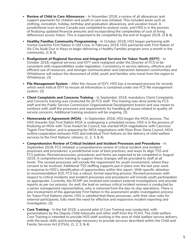- **Review of Child in Care Allowances**  In November 2018, a review of all allowances and support payments for children and youth in care was initiated. This included areas such as clothing, recreation, holiday, birthday and graduation allowances, and vacation travel. A jurisdictional scan across Canada was completed to analyze costs, and HSS is in the process of finalizing updated financial amounts and incorporating the complexities of cost of living differences across Yukon. This is expected to be completed by the end of August 2019. (3 & 4)
- **Healthy Families Community Programming** In October 2018, HSS began partnering with Vuntut Gwitchin First Nation in Old Crow. In February 2019, HSS partnered with First Nation of Na-Cho Nyäk Dun in Mayo to begin delivering a Healthy Families program once a month in the community. (1 & 3)
- **Realignment of Regional Services and Integrated Services for Yukon Youth (ISYY)** In October 2018, regional services and ISYY were realigned under the Director of FCS to be consistent with responsibilities under legislation. Consistency in service delivery, effective and efficient use of resources, and stronger communication and interaction between communities and Whitehorse will reduce the disconnect of child, youth and families who travel from the region to Whitehorse. (3)
- **File Management System** After the closure of ISYY, HSS has a revamped process for records which were held at ISYY to ensure all information is contained under one FCS file management system. (3)
- **Client Complaints and Concerns Training** In September 2018, mandatory Client Complaints and Concerns training was conducted for all FCS staff. This training was done jointly by FCS staff and the Public Service Commission Organizational Development branch and was meant to reinforce with staff the processes and requirements for handling all issues related to quality-ofservice concerns. Additional training sessions will be ongoing. (3)
- **Memoranda of Agreement (MOA)** In September 2018, HSS began the MOA process. The HSS-Kwanlin Dün First Nation MOA is undergoing a scheduled review. HSS is in the process of finalizing an MOA with Ta'an Kwäch'än Council, has started MOA negotiations with Carcross/ Tagish First Nation, and is preparing for MOA negotiations with Ross River Dena Council. MOA outline cooperation between HSS and individual First Nations on the delivery of child welfare services to the First Nations' citizens. (1, 2, 3, & 4)
- **Comprehensive Review of Critical Incident and Incident Processes and Procedures** In September 2018, FCS initiated: a comprehensive review of critical incident and incident processes and procedures; a jurisdictional scan of best practices; and ways to align TSS and FCS policies. Revised processes, procedures and forms are expected to be completed in August 2019. A comprehensive training to support these changes will be provided to staff at all levels. The revised processes will include the requirement for youth involvement, where they consent to be involved. Additional TSS staffing supports put in place over the last year were in response to HSS's identification of opportunities within this report. With specific attention to recommendation #25, FCS has a robust, formal reporting process. Revised processes with respect to critical incidents and incident processes and procedures will include youth participation as appropriate. Currently, the RCMP are involved and conduct external investigations and provide reports as per our process. As well, the lead on serious critical incident reviews is conducted by a senior management representative, who is removed from the day-to-day operations. There is also involvement of the appropriate First Nation in the assessment and/or investigation process for Yukon First Nations clients. HSS is satisfied that these processes, with their clear roles for external participants, fully meet the need for effective and responsive incident reporting and investigation. (3)
- **Core Training**  In the fall 2018, a second pilot of Core Training was conducted, with presentations by the Deputy Child Advocate and other staff from the YCAO. The child welfare Core Training is intended to provide HSS staff working in the area of child welfare service delivery with the basic skills and knowledge necessary to provide services described within the *Child and Family Services Act* (CFSA). (1, 2, 3, & 4)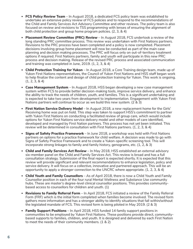- **FCS Policy Review Team**  In August 2018, a dedicated FCS policy team was established to undertake an extensive policy review of FCS policies and to respond to the recommendations of the Child and Family Services Act Advisory Committee and other reviews. The policy team is also focused on review and revisions to TSS programming with lenses of ensuring the alignment of both child protection and group home program policies. (2, 3, & 4)
- **Placement Review Committee (PRC) Review** In August 2018, FCS undertook a review of the long standing PRC committee process. This review was undertaken with First Nations partners. Revisions to the PRC process have been completed and a policy is now completed. Placement decisions involving group home placement will now be conducted as part of the main case planning and decision making processes. The PRC will focus only on out-of-territory treatment options if required. First Nations partners, family and youth will participate in this new PRC process and decision making. Release of the revised PRC process and associated communication and training was completed in June, 2019. (1, 2, 3, & 4)
- **Child Protection Training for Yukon**  In August 2018, a Core Training design team, made up of Yukon First Nations representatives, the Council of Yukon First Nations and HSS staff began work to help finalize the content and design of child protection training for Yukon. This work is ongoing. (1, 2, 3, & 4)
- **Case Management System**  In August 2018, HSS began developing a new case management system within FCS to provide better decision-making tools, improve service delivery, and enhance the ability to track the needs of children, youth, and families. This is a significant undertaking and is expected to take two years from development to implementation. Engagement with Yukon First Nations partners will continue to occur as we build this new system. (2 & 3)
- **First Nation Service Delivery Model**  In August 2018, a new replacement home for the Girls' Receiving home was put on hold. This step was taken to support HSS's commitment to partner with Yukon First Nations on conducting a facilitated review of group care, which would include options for Yukon First Nations service delivery model and other models of care identified, developed and managed by First Nation partners. This process has not yet been initiated. This review will be determined in consultation with First Nations partners. (1, 2, 3, & 4)
- **Signs of Safety Practice Framework** In June 2018, a workshop was held with First Nations partners on options for a practice framework for child welfare. A decision was made to go with Signs of Safety Practice Framework and to create a Yukon-specific screening tool. This will incorporate strong linkages to family and family history, genograms, etc. (1, 2, & 3)
- *Child and Family Services Act* **Review** In May 2018, HSS established an external advisory six-member panel on the Child and Family Services Act. This review is broad and has a full consultation strategy. Submission of the final report is expected shortly. It is expected that this review will provide significant and relevant recommendations to enhance legislation, policy and service delivery. It will focus on a collective, innovative and partnered approach. This will be an opportunity to apply a stronger connection to the UNCRC where appropriate. (1, 2, 3, & 4)
- **Child Youth and Family Counsellors** As of April 2018, there is now a Child Youth and Family Counsellor position in each of the four rural Mental Wellness and Substance Use community hubs. These are master's degree-level clinical counsellor positions. This provides communitybased access to counsellors for children and youth. (1)
- **Revisions to Family Referral Form**  In April 2018, FCS initiated a review of the Family Referral Form (FRF) which is the initial form completed when families become involved. The revised form gathers more information and has a stronger ability to identify situations that fall within/without the legislated mandate of FCS. This revised form is being piloted in May 2019. (2 & 3)
- **Family Support Positions** In April 2018, HSS funded 14 family support positions in communities to be employed by Yukon First Nations. These positions provide direct, communitybased supports to families, children, and youth. It is designed and delivered by each First Nation to meet the needs of their community members. (1 & 2)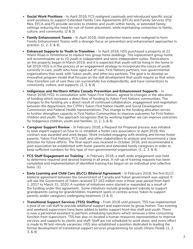- **Social Work Positions**  In April 2018, FCS realigned caseloads and introduced specific social work positions to support Extended Family Care Agreements (EFCA) and Family Services (FS) files. EFCA and FS provide services to children and youth within family, or extended family, settings reducing the need for out-of-home placement, while maintaining connection to family, culture, and community. (2 & 3)
- **Family Enhancement Teams**  In April 2018, child protection teams were realigned to form Family Enhancement Teams with a stronger focus on prevention and enhancement approaches in practice. (1, 2, 3, & 4)
- **Enhanced Supports to Youth in Transition** In April 2018, HSS purchased a property at 22 Wann Road in Whitehorse to replace two group home buildings. The replacement group home will accommodate up to 10 youth in independent and semi-independent suites. Renovations on the property began in March 2019, and it is expected that youth will be living in the home in fall 2019. HSS is in the process of an engagement strategy to incorporate the voices of youth currently in care, youth who have aged out of care, First Nations partners, non-governmental organizations that work with Yukon youth, and other key partners. The goal is to develop an innovative program model that focuses on the skill development that youth require so that when they transition out of care they can successfully live independently, and have connections to community, culture, and supports. (2, 3, & 4)
- **Indigenous and Northern Affairs Canada Prevention and Enhancement Supports** In March 2018, HSS, in consultation with Yukon First Nations, agreed to changes in the allocation of funding which increases a direct flow of funding to Yukon First Nations communities. The changes to the funding are a direct result of continued collaboration, engagement and negotiation between the department, the CYFN's Yukon First Nation Health and Social Development Commission and Federal Health representatives. This change to the funding allocation serves to further strengthen capacity in First Nation Communities to improve outcomes for First Nation children and youth. This approach recognizes that by working together we can improve outcomes for Indigenous children, youth and families. (1, 2, 3, & 4)
- **Caregiver Support Review** In February 2018, a Request for Proposal process was initiated to seek expert support on how to re-establish a foster care association. In April 2018, this contract was awarded and work began. Work included engaging with existing and former foster parents, Yukon First Nations, FCS staff, and other stakeholders to analyze and recommend a clear direction for future efforts. The final report was received in October 2018, and recommended a joint association be established with foster parents and extended family caregivers in order to keep sufficient numbers for this type of non-governmental organization. (1, 2, 3, & 4)
- **FCS Staff Engagement on Training** In February 2018, a staff-wide engagement was held to determine required and desired training in all areas. A roll-up of training requests has been completed and implementation of identified training has begun on an individual and collective basis. (1)
- **Early Learning and Child Care (ELCC) Bilateral Agreement**  In February 2018, the first ELCC bilateral agreement between the Government of Canada and Yukon government was signed. It will see the Government of Yukon received \$7.163 million over a three-year period from April 1, 2017 to March 31, 2020. A number of initiatives were started or expanded as a result of the funding under this agreement. Some initiatives include grandparent subsidy to support grandparents caring for grandchildren, treatment spots in centres across Yukon to support parents and/or caregivers undergoing treatment. (1 & 3)
- **Transitional Support Services (TSS) Staffing** From 2018 until present, TSS has implemented a pool of on-call staff to provide additional support and supervision to group homes. Two evening and weekend supervisors have been added to better support front-line staff and youth. There is now a personnel assistant to perform scheduling functions which removes a time consuming function from supervisors. TSS has also co-located a human resources representative to improve services and supports to clients and staff. Staff are not scheduled to work alone, and every effort is made to fill last-minute vacancies. HSS also established a position dedicated to leading the formal development of transitional support services programming for youth (Wann Road). (1, 2, 3, & 4)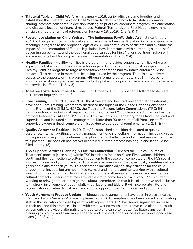- **Trilateral Table on Child Welfare** In January 2018, senior officials came together and established the Trilateral Table on Child Welfare to: determine how to facilitate information sharing, promote collaborative decision-making on priorities, coordinate program implementation, and discuss allocation of financial resources. Federal, Territorial, and First Nations government officials signed the terms of reference on February 18, 2019. (1, 2, 3, & 4)
- **Federal Legislation on Child Welfare The** *Indigenous Family Unity Act* Since January 2018, Yukon government officials at varying levels have been participating in Federal government meetings in regards to the proposed legislation. Yukon continues to participate and evaluate the impact of implementation of Federal legislation, how it interfaces with current legislation, selfgoverning agreements, and the additional opportunities for First Nations partners. Yukon will engage with its First Nation partners on implementation. (1, 2, 3, & 4)
- **Healthy Families** Healthy Families is a program that provides support to families who are expecting a baby up until the child is school-age. In October 2017, approval was given for the Healthy Families program to forgo accreditation so that the narrow intake criteria could be replaced. This resulted in more families being served by the program. There is now universal access to the supports of this program. Although formal program data is still limited, early information is showing large increases in client uptake of this program in all communities where the service is offered. (1, 2, & 3)
- **Toll-Free Foster Recruitment Number** In October 2017, FCS opened a toll-free foster care recruitment inquiry number. (3)
- **Core Training** In fall 2017 and 2018, the Advocate and her staff presented at the internallydeveloped Core Training, where they discussed the topics of the United Nations Convention on the Rights of the Child (UNCRC), the Truth and Reconciliation Commission's (TRC) 94 Calls to Action, YCAO Annual Report (2017), the *Child and Youth Advocate Act,* as well as the protocol between YCAO and HSS (2016). This training was mandatory for all front-line staff and supervisors and included some management. More than 90 per cent of all front-line staff and supervisors were trained, some were missed due to operational requirements. (1, 2, 3, & 4)
- **Quality Assurance Position** In 2017, HSS established a position dedicated to quality assurance, internal auditing, and data management of child welfare information, including group home programming. HSS continues to explore the most effective and efficient manner to utilize this position. The position has not yet been filled, but the process has begun and it should be filled shortly. (3)
- **TSS Support Services Planning & Cultural Connection**  Revised the 'Clinical Course of Treatment' process (case plan) within TSS in order to focus on Yukon First Nations children and youth and their connection to culture. In addition to the case plan completed by the FCS social worker, children and youth placed at TSS receive an orientation that specifically identifies cultural goals and plans for each youth. This orientation identifies day-to-day activities for the child or youth that include, but are not limited to, meal and menu planning, working with a cultural liaison from the child's First Nation, attending cultural gatherings and events, and maintaining cultural contacts. Elders sometimes attend the group home for contract work. TSS is currently working to reinvigorate or redesign the cultural committee, so that it is collaborative and inclusive with strong involvement of youth, staff, First Nations and Elders. It will incorporate TRC and reconciliation activities, land-based and cultural opportunities for children and youth. (2 & 3)
- **Youth Agreement Practice Update** Although these agreements have been in place since the *Child and Family Services Act* was implemented in 2010, emphasis has been placed on educating staff in the utilization of these types of youth agreements. FCS has seen a significant increase in their use and this practice is in line with empowering youth in their own case planning. Youth agreements are a viable alternative to group care and can often better facilitate transitional planning for youth. Youth are more engaged and invested in the success of self-developed case plans (1, 2, 3, & 4)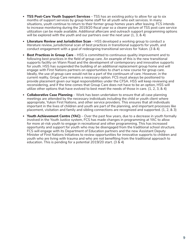- **TSS Post-Care Youth Support Services** TSS has an existing policy to allow for up to six months of support services by group home staff for all youth who exit services. In many situations, youth continue to return to their former group homes years after leaving. FCS intends to increase monitoring during the 2019/20 fiscal year so a clearer picture of TSS post care service utilization can be made available. Additional aftercare and outreach support programming options will be explored with the youth and our partners over the next year (1, 3, & 4)
- **Literature Review and Jurisdiction Scan**  HSS developed a working group to conduct a literature review, jurisdictional scan of best practices in transitional supports for youth, and conduct engagement with a goal of redesigning transitional services for Yukon. (3 & 4)
- **Best Practices in Group Care** HSS is committed to continuous quality improvement and to following best practices in the field of group care. An example of this is the new transitional supports facility on Wann Road and the development of contemporary and innovative supports for youth. HSS has suspended the building of an additional replacement group home and will engage with First Nations partners on opportunities to chart a new course for group care. Ideally, the use of group care would not be a part of the continuum of care. However, in the current reality, Group Care remains a necessary option. FCS must always be positioned to provide placement given our legal responsibilities under the CFSA. HSS will keep reviewing and reconsidering, and if the time comes that Group Care does not have to be an option, HSS will utilize other options that have evolved to best meet the needs of those in care. (1, 2, 3, & 4)
- **Collaborative Case Planning** Work has been undertaken to ensure that all case planning meetings are attended by the necessary individuals including the child or youth client where appropriate, Yukon First Nations, and other service providers. This ensures that all individuals important in the lives of children and youth are part of the planning, and important processes like placement, visitation and family and sibling connections are recognized and supported. (1, 2, & 3)
- **Youth Achievement Centre (YAC)** Over the past few years, due to a decrease in youth formally involved in the Youth Justice system, FCS has made changes in programming at YAC to allow for more at-risk youth to engage in recreational and other programming. This has increased opportunity and support for youth who may be disengaged from the traditional school structure. FCS will engage with its Department of Education partners and the new Assistant Deputy Minister of First Nations Initiatives to review opportunities for innovative supports to children and youth who are living with trauma and who are not benefiting from the traditional approach to education. This is pending for a potential 2019/20 start. (3 & 4)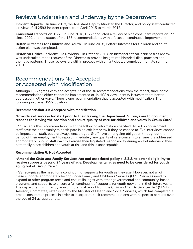# Reviews Undertaken and Underway by the Department

**Incident Reports** – In June 2018, the Assistant Deputy Minister, the Director, and policy staff conducted a review of all 2593 incident reports from April 2015 to March 2018.

**Consultant Reports on TSS** – In June 2018, HSS conducted a review of nine consultant reports on TSS since 2002 and the status of the 186 recommendations, with a focus on continuous improvement.

**Better Outcomes for Children and Youth** – In June 2018, Better Outcomes for Children and Youth action plan was completed.

**Historical Critical Incident File Reviews** – In October 2018, an historical critical incident files review was undertaken at the request of the Director to provide insight into historical files, practices and thematic patterns. These reviews are still in process with an anticipated completion for late summer 2019.

# Recommendations Not Accepted or Accepted with Modification

Although HSS agrees with and accepts 27 of the 30 recommendations from the report, three of the recommendations either cannot be implemented or, in HSS's view, identify issues that are better addressed in other ways. There is one recommendation that is accepted with modification. The following explains HSS's position:

#### **Recommendation 31: Accepted with Modification**

#### **"Provide exit surveys for staff prior to their leaving the Department. Surveys are to document reasons for leaving the position and ensure quality of care for children and youth in Group Care."**

HSS accepts this recommendation with the following information specified. All Yukon government staff have the opportunity to participate in an exit interview if they so choose to. Exit interviews cannot be imposed on staff, but are always encouraged. Staff have an ongoing obligation throughout the period of their employment to report immediately any quality of care concern to ensure it is addressed appropriately. Should staff wait to exercise their legislated responsibility during an exit interview, they potentially place children and youth at risk and this is unacceptable.

#### **Recommendation 6: Not Accepted**

#### **"Amend the** *Child and Family Services Act* **and associated policy s. 8.2.8, to extend eligibility to receive supports beyond 24 years of age. Developmental ages need to be considered for youth aging out of Group Care."**

HSS recognizes the need for a continuum of supports for youth as they age. However, not all of these supports appropriately belong under Family and Children's Services (FCS). Services need to expand to other program areas and ensure linkages with other governmental and community-based programs and supports to ensure a full continuum of supports for youth now and in their future years. The department is currently awaiting the final report from the *Child and Family Services Act* (CFSA) Advisory Committee, established by the Minister of Health and Social Services, which has completed a broad consultation process in order to incorporate their recommendations with respect to persons over the age of 24 as appropriate.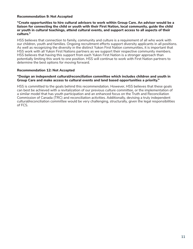#### **Recommendation 9: Not Accepted**

#### **"Create opportunities to hire cultural advisors to work within Group Care. An advisor would be a liaison for connecting the child or youth with their First Nation, local community, guide the child or youth in cultural teachings, attend cultural events, and support access to all aspects of their culture."**

HSS believes that connection to family, community and culture is a requirement of all who work with our children, youth and families. Ongoing recruitment efforts support diversity applicants in all positions. As well as recognizing the diversity in the distinct Yukon First Nation communities, it is important that HSS work with all Yukon First Nations partners as we support their respective community members. HSS believes that having this support from each Yukon First Nation is a stronger approach than potentially limiting this work to one position. HSS will continue to work with First Nation partners to determine the best options for moving forward.

#### **Recommendation 12: Not Accepted**

#### **"Design an independent cultural/reconciliation committee which includes children and youth in Group Care and make access to cultural events and land based opportunities a priority."**

HSS is committed to the goals behind this recommendation. However, HSS believes that these goals can best be achieved with a revitalization of our previous culture committee, or the implementation of a similar model that has youth participation and an enhanced focus on the Truth and Reconciliation Commission of Canada (TRC) and reconciliation activities. Additionally, devising a truly independent cultural/reconciliation committee would be very challenging, structurally, given the legal responsibilities of FCS.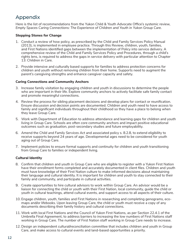# Appendix

Here is the list of recommendations from the Yukon Child & Youth Advocate Office's systemic review, *Empty Spaces Caring Connections: The Experience of Children and Youth in Yukon Group Care*.

#### **Stepping Stones for Change**

- 1. Conduct a review of how policy, as prescribed by the Child and Family Services Policy Manual (2013), is implemented in employee practice. Through this Review, children, youth, families, and First Nations identified gaps between the implementation of Policy into service delivery. A comprehensive review of the Child and Family Services Policy and Procedures, through a child's rights lens, is required to address the gaps in service delivery with particular attention to Chapter 13: Children in Care.
- 2. Provide intensive and culturally based supports for families to address protection concerns for children and youth without removing children from their home. Supports need to augment the parent's caregiving strengths and enhance caregiver capacity and safety.

### **Caring Connections and Community Anchors**

- 3. Increase family visitation by engaging children and youth in discussions to determine the people who are important in their life. Explore community anchors to actively facilitate safe family contact and promote meaningful connections.
- 4. Review the process for sibling placement decisions and develop plans for contact or reunification. Ensure discussion and decision points are documented. Children and youth need to have access to family and significant individuals throughout their childhood so they have a place to belong when they leave Group Care.
- 5. Work with Department of Education to address attendance and learning gaps for children and youth living in Group Care. Schools are often core community anchors and impact positive educational outcomes such as graduation, post-secondary studies and future employability.
- 6. Amend the *Child and Family Services Act* and associated policy s. 8.2.8, to extend eligibility to receive supports beyond 24 years of age. Developmental ages need to be considered for youth aging out of Group Care.
- 7. Implement policies to ensure formal supports and continuity for children and youth transitioning from Group Care to families or independent living.

### **Cultural Identity**

- 8. Confirm that children and youth in Group Care who are eligible to register with a Yukon First Nation have their enrollment forms completed and accurately documented in client files. Children and youth must have knowledge of their First Nation culture to make informed decisions about maintaining their language and cultural identity. It is important for children and youth to stay connected to their family and community, and participate in cultural activities.
- 9. Create opportunities to hire cultural advisors to work within Group Care. An advisor would be a liaison for connecting the child or youth with their First Nation, local community, guide the child or youth in cultural teachings, attend cultural events, and support access to all aspects of their culture.
- 10. Engage children, youth, families and First Nations in researching and completing genograms, ecomaps and/or lifebooks. Upon leaving Group Care, the child or youth must receive a copy of any documents describing their family history and cultural connections.
- 11. Work with local First Nations and the Council of Yukon First Nations, as per Section 22.4.1 of the Umbrella Final Agreement, to address barriers to increasing the low numbers of First Nations staff working in Group Care. The number of First Nation staff working in Group Care needs to increase.
- 12. Design an independent cultural/reconciliation committee that includes children and youth in Group Care, and make access to cultural events and land-based opportunities a priority.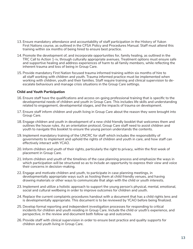- 13. Ensure mandatory attendance and accountability of staff participation in the History of Yukon First Nations course, as outlined in the CFSA Policy and Procedures Manual. Staff must attend this training within six months of being hired to ensure best practice.
- 14. Promote the development of, and incorporate opportunities for, family healing, as outlined in the TRC Call to Action 1-iv, through culturally appropriate avenues. Treatment options must ensure safe and supportive healing and address experiences of harm to all family members, while reflecting the inherent trauma and loss of being in Group Care.
- 15. Provide mandatory First Nation focused trauma informed training within six months of hire to all staff working with children and youth. Trauma informed practice must be implemented when working with children, youth and their families. Staff require training and clinical supervision to deescalate behaviours and manage crisis situations in the Group Care settings.

#### **Child and Youth Participation**

- 16. Ensure staff have the qualifications and access on-going professional training that is specific to the developmental needs of children and youth in Group Care. This includes life skills and understanding related to engagement, developmental stages, and the impacts of trauma on development.
- 17. Ensure staff inform children and youth living in Group Care about the reason they were brought into Group Care.
- 18. Engage children and youth in development of a new child friendly booklet that welcomes them and outlines the house rules. As an orientation protocol, Group Care staff need to assist children and youth to navigate this booklet to ensure the young person understands the contents.
- 19. Implement mandatory training of the UNCRC for staff which includes the responsibility of governments to implement and uphold the rights of children and youth in care, and how staff can effectively interact with YCAO.
- 20. Inform children and youth of their rights, particularly the right to privacy, within the first week of placement in Group Care.
- 21. Inform children and youth of the timelines of the case planning process and emphasize the ways in which participation will be structured so as to include an opportunity to express their view and voice their concerns in decision-making.
- 22. Engage and motivate children and youth, to participate in case planning meetings, in developmentally appropriate ways such as hosting them at child friendly venues, and having drawing materials or other ways to communicate that align with the child or youth interests.
- 23. Implement and utilize a holistic approach to support the young person's physical, mental, emotional, social and cultural wellbeing in order to improve outcomes for children and youth.
- 24. Replace the current complaints procedures handout with a document that has a child rights lens and is developmentally appropriate. This document is to be reviewed by YCAO before being finalized.
- 25. Develop formal reporting and independent investigation processes for responding to critical incidents for children and youth residing in Group Care. Include the child or youth's experience, and perspective, in the review and document both follow up and outcomes.
- 26. Provide staff with clinical supervision in order to ensure best practice and quality supports for children and youth living in Group Care.